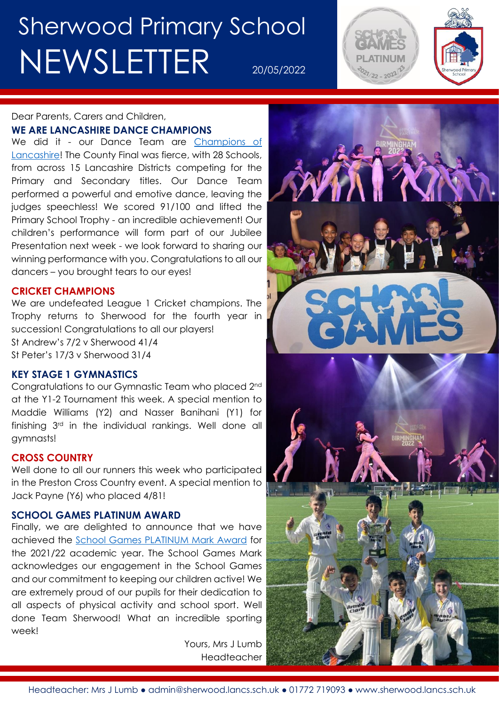# Sherwood Primary School NEWSLETTER 20/05/2022



### Dear Parents, Carers and Children,

#### **WE ARE LANCASHIRE DANCE CHAMPIONS**

We did it - our Dance Team are Champions of [Lancashire!](http://www.sherwood.lancs.sch.uk/news/lancashire-dance-champions/69238) The County Final was fierce, with 28 Schools, from across 15 Lancashire Districts competing for the Primary and Secondary titles. Our Dance Team performed a powerful and emotive dance, leaving the judges speechless! We scored 91/100 and lifted the Primary School Trophy - an incredible achievement! Our children's performance will form part of our Jubilee Presentation next week - we look forward to sharing our winning performance with you. Congratulations to all our dancers – you brought tears to our eyes!

#### **CRICKET CHAMPIONS**

We are undefeated League 1 Cricket champions. The Trophy returns to Sherwood for the fourth year in succession! Congratulations to all our players! St Andrew's 7/2 v Sherwood 41/4 St Peter's 17/3 v Sherwood 31/4

#### **KEY STAGE 1 GYMNASTICS**

Congratulations to our Gymnastic Team who placed 2nd at the Y1-2 Tournament this week. A special mention to Maddie Williams (Y2) and Nasser Banihani (Y1) for finishing 3rd in the individual rankings. Well done all gymnasts!

#### **CROSS COUNTRY**

Well done to all our runners this week who participated in the Preston Cross Country event. A special mention to Jack Payne (Y6) who placed 4/81!

#### **SCHOOL GAMES PLATINUM AWARD**

Finally, we are delighted to announce that we have achieved the [School Games PLATINUM Mark Award](http://www.sherwood.lancs.sch.uk/news/sherwood-sports-achievements/69230) for the 2021/22 academic year. The School Games Mark acknowledges our engagement in the School Games and our commitment to keeping our children active! We are extremely proud of our pupils for their dedication to all aspects of physical activity and school sport. Well done Team Sherwood! What an incredible sporting week!

> Yours, Mrs J Lumb Headteacher

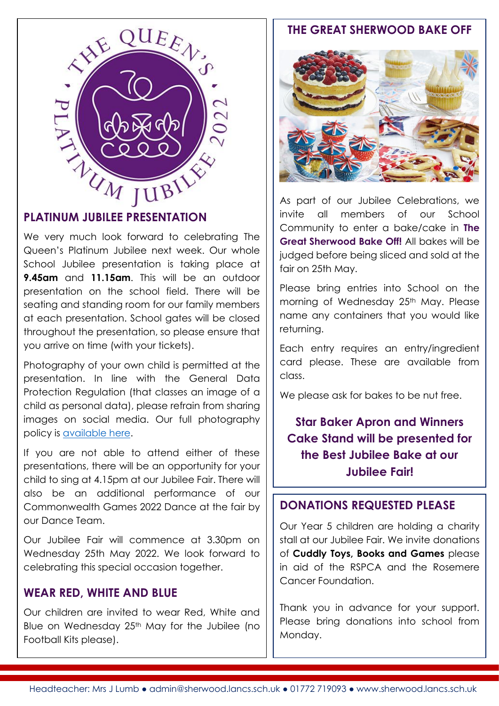

We very much look forward to celebrating The Queen's Platinum Jubilee next week. Our whole School Jubilee presentation is taking place at **9.45am** and **11.15am**. This will be an outdoor presentation on the school field. There will be seating and standing room for our family members at each presentation. School gates will be closed throughout the presentation, so please ensure that you arrive on time (with your tickets).

Photography of your own child is permitted at the presentation. In line with the General Data Protection Regulation (that classes an image of a child as personal data), please refrain from sharing images on social media. Our full photography policy is [available here.](http://www.sherwood.lancs.sch.uk/page/photography-in-school/44903)

If you are not able to attend either of these presentations, there will be an opportunity for your child to sing at 4.15pm at our Jubilee Fair. There will also be an additional performance of our Commonwealth Games 2022 Dance at the fair by our Dance Team.

Our Jubilee Fair will commence at 3.30pm on Wednesday 25th May 2022. We look forward to celebrating this special occasion together.

#### **WEAR RED, WHITE AND BLUE**

Our children are invited to wear Red, White and Blue on Wednesday 25<sup>th</sup> May for the Jubilee (no Football Kits please).

#### **THE GREAT SHERWOOD BAKE OFF**



As part of our Jubilee Celebrations, we invite all members of our School Community to enter a bake/cake in **The Great Sherwood Bake Off!** All bakes will be judged before being sliced and sold at the fair on 25th May.

Please bring entries into School on the morning of Wednesday 25th May. Please name any containers that you would like returning.

Each entry requires an entry/ingredient card please. These are available from class.

We please ask for bakes to be nut free.

**Star Baker Apron and Winners Cake Stand will be presented for the Best Jubilee Bake at our Jubilee Fair!**

#### **DONATIONS REQUESTED PLEASE**

Our Year 5 children are holding a charity stall at our Jubilee Fair. We invite donations of **Cuddly Toys, Books and Games** please in aid of the RSPCA and the Rosemere Cancer Foundation.

Thank you in advance for your support. Please bring donations into school from Monday.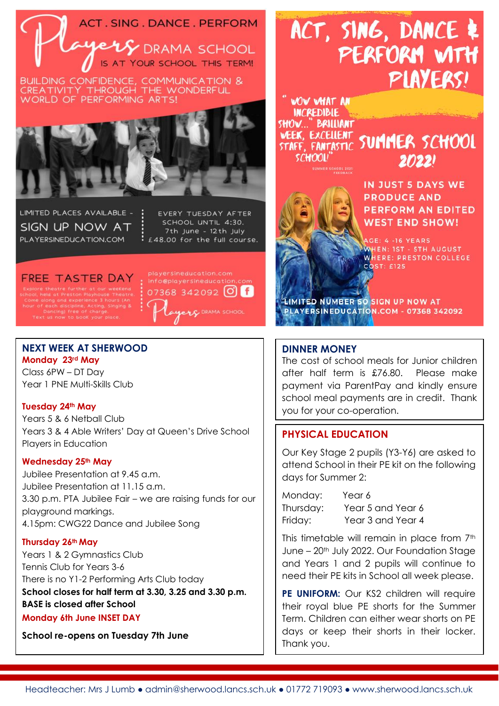



Н

LIMITED PLACES AVAILABLE -SIGN UP NOW AT PLAYERSINEDUCATION.COM

EVERY TUESDAY AFTER SCHOOL UNTIL 4:30. 7th June - 12th July : £48.00 for the full course.

FREE TASTER DAY .<br>xplore theatre further at our weekend<br>iool, held at Preston Playhouse Theatre.

playersineducation.com 07368 342092 0 6 **ELG** DRAMA SCHOOL

#### **NEXT WEEK AT SHERWOOD Monday 23rd May**

Class 6PW – DT Day Year 1 PNE Multi-Skills Club

#### **Tuesday 24th May**

Years 5 & 6 Netball Club Years 3 & 4 Able Writers' Day at Queen's Drive School Players in Education

#### **Wednesday 25th May**

Jubilee Presentation at 9.45 a.m. Jubilee Presentation at 11.15 a.m. 3.30 p.m. PTA Jubilee Fair – we are raising funds for our playground markings. 4.15pm: CWG22 Dance and Jubilee Song

#### **Thursday 26th May**

Years 1 & 2 Gymnastics Club Tennis Club for Years 3-6 There is no Y1-2 Performing Arts Club today **School closes for half term at 3.30, 3.25 and 3.30 p.m. BASE is closed after School**

#### **Monday 6th June INSET DAY**

**School re-opens on Tuesday 7th June**

## ACT, SING, DANCE & PERFORM WITH PIAYERS!

**WOW WHAT AN INCREDIBLE** SHOW..." BRILLIANT WEEK, EXCELLENT SUMMER SCHOOL **SCHOOLI** 



IN JUST 5 DAYS WE **PRODUCE AND PERFORM AN EDITED WEST END SHOW!** 

 $20221$ 

**AGE: 4 -16 YEARS** WHEN: 1ST - 5TH AUGUST WHERE: PRESTON COLLEGE **COST: £125** 

IMITED NUMBER 50 SIGN UP NOW AT PLAYERSINEDUCATION.COM - 07368 342092

#### **DINNER MONEY**

The cost of school meals for Junior children after half term is £76.80. Please make payment via ParentPay and kindly ensure school meal payments are in credit. Thank you for your co-operation.

#### **PHYSICAL EDUCATION**

Our Key Stage 2 pupils (Y3-Y6) are asked to attend School in their PE kit on the following days for Summer 2:

Monday: Year 6 Thursday: Year 5 and Year 6 Friday: Year 3 and Year 4

This timetable will remain in place from 7<sup>th</sup> June – 20<sup>th</sup> July 2022. Our Foundation Stage and Years 1 and 2 pupils will continue to need their PE kits in School all week please.

PE UNIFORM: Our KS2 children will require their royal blue PE shorts for the Summer Term. Children can either wear shorts on PE days or keep their shorts in their locker. Thank you.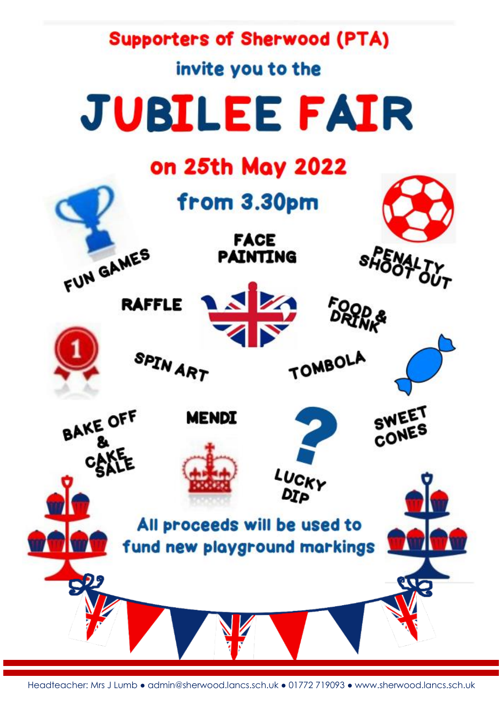